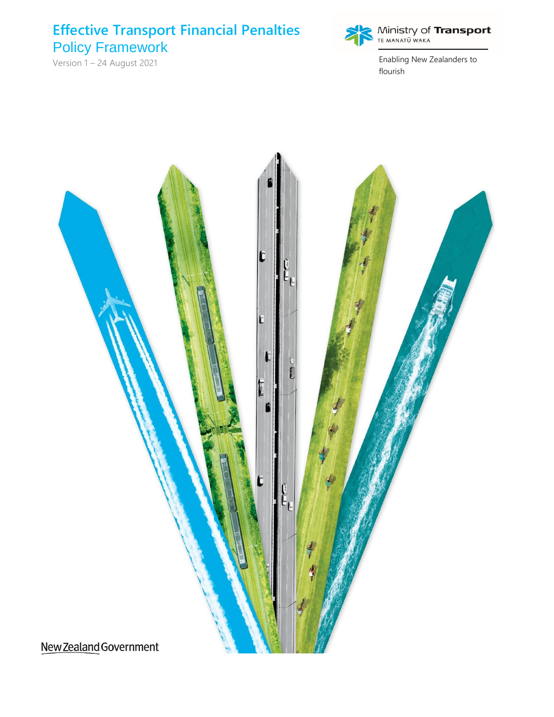## **Effective Transport Financial Penalties** Policy Framework

Version 1 – 24 August 2021



**Ministry of Transport**<br>TE MANATŪ WAKA

Enabling New Zealanders to flourish

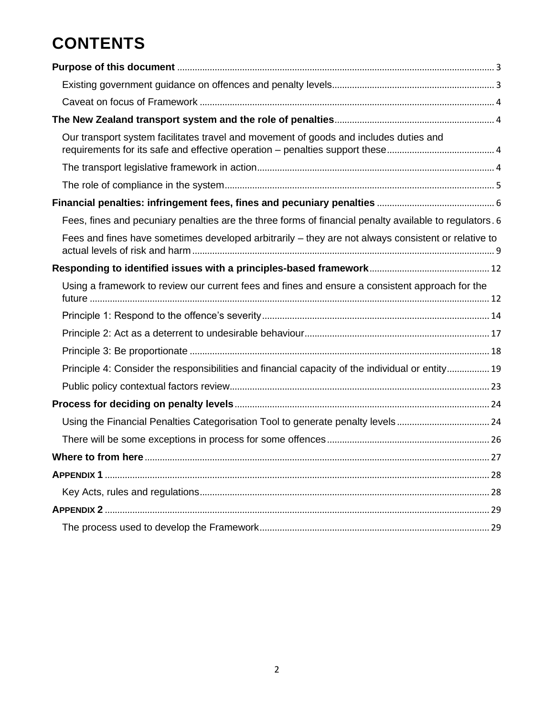# **CONTENTS**

| Our transport system facilitates travel and movement of goods and includes duties and                   |
|---------------------------------------------------------------------------------------------------------|
|                                                                                                         |
|                                                                                                         |
|                                                                                                         |
| Fees, fines and pecuniary penalties are the three forms of financial penalty available to regulators. 6 |
| Fees and fines have sometimes developed arbitrarily - they are not always consistent or relative to     |
|                                                                                                         |
| Using a framework to review our current fees and fines and ensure a consistent approach for the         |
|                                                                                                         |
|                                                                                                         |
|                                                                                                         |
| Principle 4: Consider the responsibilities and financial capacity of the individual or entity 19        |
|                                                                                                         |
|                                                                                                         |
|                                                                                                         |
|                                                                                                         |
|                                                                                                         |
|                                                                                                         |
|                                                                                                         |
|                                                                                                         |
|                                                                                                         |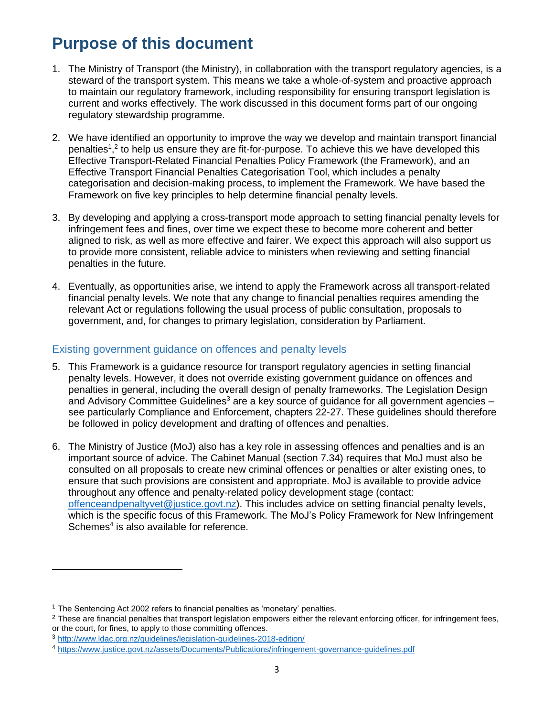# <span id="page-2-0"></span>**Purpose of this document**

- 1. The Ministry of Transport (the Ministry), in collaboration with the transport regulatory agencies, is a steward of the transport system. This means we take a whole-of-system and proactive approach to maintain our regulatory framework, including responsibility for ensuring transport legislation is current and works effectively. The work discussed in this document forms part of our ongoing regulatory stewardship programme.
- 2. We have identified an opportunity to improve the way we develop and maintain transport financial penalties<sup>1</sup>,<sup>2</sup> to help us ensure they are fit-for-purpose. To achieve this we have developed this Effective Transport-Related Financial Penalties Policy Framework (the Framework), and an Effective Transport Financial Penalties Categorisation Tool, which includes a penalty categorisation and decision-making process, to implement the Framework. We have based the Framework on five key principles to help determine financial penalty levels.
- 3. By developing and applying a cross-transport mode approach to setting financial penalty levels for infringement fees and fines, over time we expect these to become more coherent and better aligned to risk, as well as more effective and fairer. We expect this approach will also support us to provide more consistent, reliable advice to ministers when reviewing and setting financial penalties in the future.
- 4. Eventually, as opportunities arise, we intend to apply the Framework across all transport-related financial penalty levels. We note that any change to financial penalties requires amending the relevant Act or regulations following the usual process of public consultation, proposals to government, and, for changes to primary legislation, consideration by Parliament.

## <span id="page-2-1"></span>Existing government guidance on offences and penalty levels

- 5. This Framework is a guidance resource for transport regulatory agencies in setting financial penalty levels. However, it does not override existing government guidance on offences and penalties in general, including the overall design of penalty frameworks. The Legislation Design and Advisory Committee Guidelines<sup>3</sup> are a key source of guidance for all government agencies  $$ see particularly Compliance and Enforcement, chapters 22-27. These guidelines should therefore be followed in policy development and drafting of offences and penalties.
- 6. The Ministry of Justice (MoJ) also has a key role in assessing offences and penalties and is an important source of advice. The Cabinet Manual (section 7.34) requires that MoJ must also be consulted on all proposals to create new criminal offences or penalties or alter existing ones, to ensure that such provisions are consistent and appropriate. MoJ is available to provide advice throughout any offence and penalty-related policy development stage (contact: [offenceandpenaltyvet@justice.govt.nz\)](mailto:offenceandpenaltyvet@justice.govt.nz). This includes advice on setting financial penalty levels, which is the specific focus of this Framework. The MoJ's Policy Framework for New Infringement Schemes<sup>4</sup> is also available for reference.

<sup>&</sup>lt;sup>1</sup> The Sentencing Act 2002 refers to financial penalties as 'monetary' penalties.

<sup>&</sup>lt;sup>2</sup> These are financial penalties that transport legislation empowers either the relevant enforcing officer, for infringement fees, or the court, for fines, to apply to those committing offences.

<sup>3</sup> <http://www.ldac.org.nz/guidelines/legislation-guidelines-2018-edition/>

<sup>4</sup> <https://www.justice.govt.nz/assets/Documents/Publications/infringement-governance-guidelines.pdf>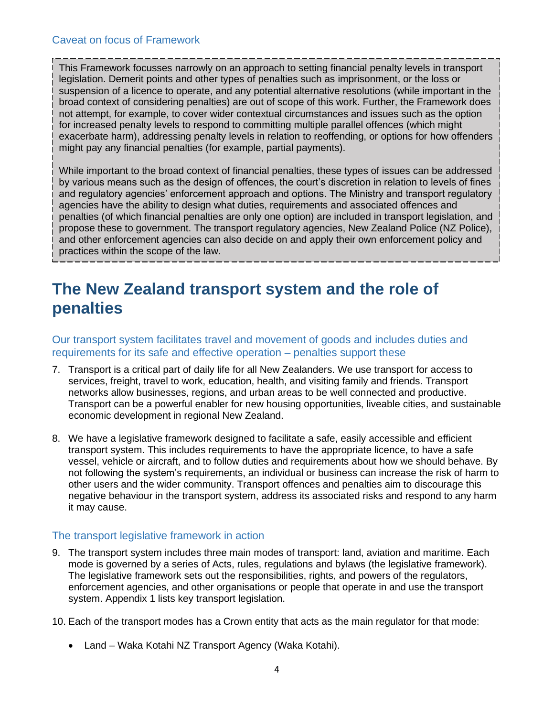<span id="page-3-0"></span>This Framework focusses narrowly on an approach to setting financial penalty levels in transport legislation. Demerit points and other types of penalties such as imprisonment, or the loss or suspension of a licence to operate, and any potential alternative resolutions (while important in the broad context of considering penalties) are out of scope of this work. Further, the Framework does not attempt, for example, to cover wider contextual circumstances and issues such as the option for increased penalty levels to respond to committing multiple parallel offences (which might exacerbate harm), addressing penalty levels in relation to reoffending, or options for how offenders might pay any financial penalties (for example, partial payments).

While important to the broad context of financial penalties, these types of issues can be addressed by various means such as the design of offences, the court's discretion in relation to levels of fines and regulatory agencies' enforcement approach and options. The Ministry and transport regulatory agencies have the ability to design what duties, requirements and associated offences and penalties (of which financial penalties are only one option) are included in transport legislation, and propose these to government. The transport regulatory agencies, New Zealand Police (NZ Police), and other enforcement agencies can also decide on and apply their own enforcement policy and practices within the scope of the law.

## <span id="page-3-1"></span>**The New Zealand transport system and the role of penalties**

<span id="page-3-2"></span>Our transport system facilitates travel and movement of goods and includes duties and requirements for its safe and effective operation – penalties support these

- 7. Transport is a critical part of daily life for all New Zealanders. We use transport for access to services, freight, travel to work, education, health, and visiting family and friends. Transport networks allow businesses, regions, and urban areas to be well connected and productive. Transport can be a powerful enabler for new housing opportunities, liveable cities, and sustainable economic development in regional New Zealand.
- 8. We have a legislative framework designed to facilitate a safe, easily accessible and efficient transport system. This includes requirements to have the appropriate licence, to have a safe vessel, vehicle or aircraft, and to follow duties and requirements about how we should behave. By not following the system's requirements, an individual or business can increase the risk of harm to other users and the wider community. Transport offences and penalties aim to discourage this negative behaviour in the transport system, address its associated risks and respond to any harm it may cause.

## <span id="page-3-3"></span>The transport legislative framework in action

- 9. The transport system includes three main modes of transport: land, aviation and maritime. Each mode is governed by a series of Acts, rules, regulations and bylaws (the legislative framework). The legislative framework sets out the responsibilities, rights, and powers of the regulators, enforcement agencies, and other organisations or people that operate in and use the transport system. Appendix 1 lists key transport legislation.
- 10. Each of the transport modes has a Crown entity that acts as the main regulator for that mode:
	- Land Waka Kotahi NZ Transport Agency (Waka Kotahi).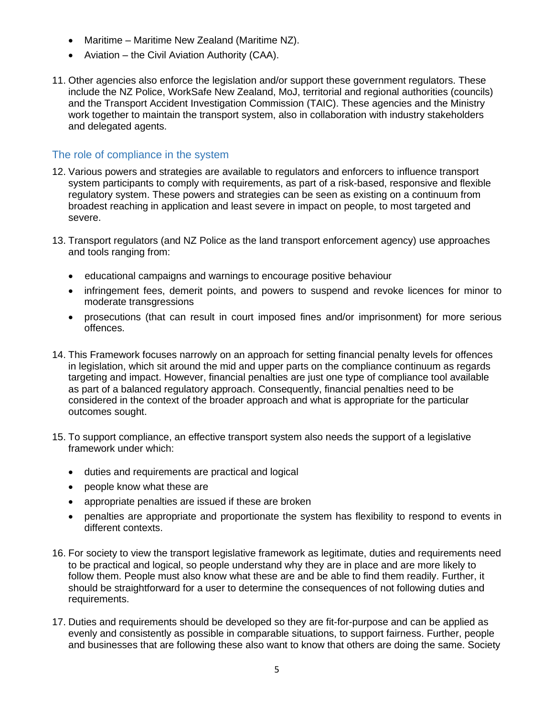- Maritime Maritime New Zealand (Maritime NZ).
- Aviation the Civil Aviation Authority (CAA).
- 11. Other agencies also enforce the legislation and/or support these government regulators. These include the NZ Police, WorkSafe New Zealand, MoJ, territorial and regional authorities (councils) and the Transport Accident Investigation Commission (TAIC). These agencies and the Ministry work together to maintain the transport system, also in collaboration with industry stakeholders and delegated agents.

## <span id="page-4-0"></span>The role of compliance in the system

- 12. Various powers and strategies are available to regulators and enforcers to influence transport system participants to comply with requirements, as part of a risk-based, responsive and flexible regulatory system. These powers and strategies can be seen as existing on a continuum from broadest reaching in application and least severe in impact on people, to most targeted and severe.
- 13. Transport regulators (and NZ Police as the land transport enforcement agency) use approaches and tools ranging from:
	- educational campaigns and warnings to encourage positive behaviour
	- infringement fees, demerit points, and powers to suspend and revoke licences for minor to moderate transgressions
	- prosecutions (that can result in court imposed fines and/or imprisonment) for more serious offences.
- 14. This Framework focuses narrowly on an approach for setting financial penalty levels for offences in legislation, which sit around the mid and upper parts on the compliance continuum as regards targeting and impact. However, financial penalties are just one type of compliance tool available as part of a balanced regulatory approach. Consequently, financial penalties need to be considered in the context of the broader approach and what is appropriate for the particular outcomes sought.
- 15. To support compliance, an effective transport system also needs the support of a legislative framework under which:
	- duties and requirements are practical and logical
	- people know what these are
	- appropriate penalties are issued if these are broken
	- penalties are appropriate and proportionate the system has flexibility to respond to events in different contexts.
- 16. For society to view the transport legislative framework as legitimate, duties and requirements need to be practical and logical, so people understand why they are in place and are more likely to follow them. People must also know what these are and be able to find them readily. Further, it should be straightforward for a user to determine the consequences of not following duties and requirements.
- 17. Duties and requirements should be developed so they are fit-for-purpose and can be applied as evenly and consistently as possible in comparable situations, to support fairness. Further, people and businesses that are following these also want to know that others are doing the same. Society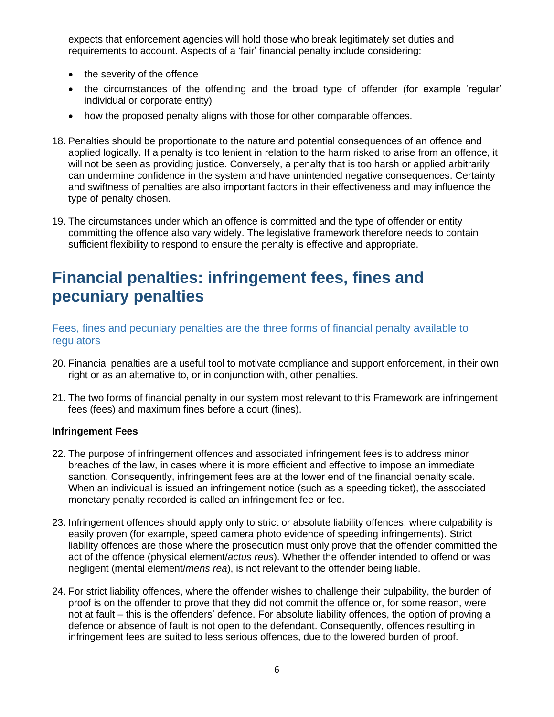expects that enforcement agencies will hold those who break legitimately set duties and requirements to account. Aspects of a 'fair' financial penalty include considering:

- the severity of the offence
- the circumstances of the offending and the broad type of offender (for example 'regular' individual or corporate entity)
- how the proposed penalty aligns with those for other comparable offences.
- 18. Penalties should be proportionate to the nature and potential consequences of an offence and applied logically. If a penalty is too lenient in relation to the harm risked to arise from an offence, it will not be seen as providing justice. Conversely, a penalty that is too harsh or applied arbitrarily can undermine confidence in the system and have unintended negative consequences. Certainty and swiftness of penalties are also important factors in their effectiveness and may influence the type of penalty chosen.
- 19. The circumstances under which an offence is committed and the type of offender or entity committing the offence also vary widely. The legislative framework therefore needs to contain sufficient flexibility to respond to ensure the penalty is effective and appropriate.

## <span id="page-5-0"></span>**Financial penalties: infringement fees, fines and pecuniary penalties**

<span id="page-5-1"></span>Fees, fines and pecuniary penalties are the three forms of financial penalty available to regulators

- 20. Financial penalties are a useful tool to motivate compliance and support enforcement, in their own right or as an alternative to, or in conjunction with, other penalties.
- 21. The two forms of financial penalty in our system most relevant to this Framework are infringement fees (fees) and maximum fines before a court (fines).

#### **Infringement Fees**

- 22. The purpose of infringement offences and associated infringement fees is to address minor breaches of the law, in cases where it is more efficient and effective to impose an immediate sanction. Consequently, infringement fees are at the lower end of the financial penalty scale. When an individual is issued an infringement notice (such as a speeding ticket), the associated monetary penalty recorded is called an infringement fee or fee.
- 23. Infringement offences should apply only to strict or absolute liability offences, where culpability is easily proven (for example, speed camera photo evidence of speeding infringements). Strict liability offences are those where the prosecution must only prove that the offender committed the act of the offence (physical element/*actus reus*). Whether the offender intended to offend or was negligent (mental element/*mens rea*), is not relevant to the offender being liable.
- 24. For strict liability offences, where the offender wishes to challenge their culpability, the burden of proof is on the offender to prove that they did not commit the offence or, for some reason, were not at fault – this is the offenders' defence. For absolute liability offences, the option of proving a defence or absence of fault is not open to the defendant. Consequently, offences resulting in infringement fees are suited to less serious offences, due to the lowered burden of proof.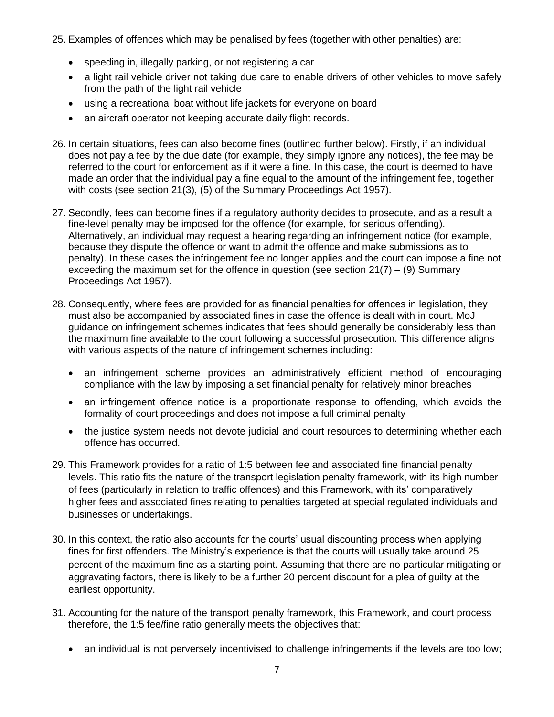25. Examples of offences which may be penalised by fees (together with other penalties) are:

- speeding in, illegally parking, or not registering a car
- a light rail vehicle driver not taking due care to enable drivers of other vehicles to move safely from the path of the light rail vehicle
- using a recreational boat without life jackets for everyone on board
- an aircraft operator not keeping accurate daily flight records.
- 26. In certain situations, fees can also become fines (outlined further below). Firstly, if an individual does not pay a fee by the due date (for example, they simply ignore any notices), the fee may be referred to the court for enforcement as if it were a fine. In this case, the court is deemed to have made an order that the individual pay a fine equal to the amount of the infringement fee, together with costs (see section 21(3), (5) of the Summary Proceedings Act 1957).
- 27. Secondly, fees can become fines if a regulatory authority decides to prosecute, and as a result a fine-level penalty may be imposed for the offence (for example, for serious offending). Alternatively, an individual may request a hearing regarding an infringement notice (for example, because they dispute the offence or want to admit the offence and make submissions as to penalty). In these cases the infringement fee no longer applies and the court can impose a fine not exceeding the maximum set for the offence in question (see section  $21(7) - (9)$ ) Summary Proceedings Act 1957).
- 28. Consequently, where fees are provided for as financial penalties for offences in legislation, they must also be accompanied by associated fines in case the offence is dealt with in court. MoJ guidance on infringement schemes indicates that fees should generally be considerably less than the maximum fine available to the court following a successful prosecution. This difference aligns with various aspects of the nature of infringement schemes including:
	- an infringement scheme provides an administratively efficient method of encouraging compliance with the law by imposing a set financial penalty for relatively minor breaches
	- an infringement offence notice is a proportionate response to offending, which avoids the formality of court proceedings and does not impose a full criminal penalty
	- the justice system needs not devote judicial and court resources to determining whether each offence has occurred.
- 29. This Framework provides for a ratio of 1:5 between fee and associated fine financial penalty levels. This ratio fits the nature of the transport legislation penalty framework, with its high number of fees (particularly in relation to traffic offences) and this Framework, with its' comparatively higher fees and associated fines relating to penalties targeted at special regulated individuals and businesses or undertakings.
- 30. In this context, the ratio also accounts for the courts' usual discounting process when applying fines for first offenders. The Ministry's experience is that the courts will usually take around 25 percent of the maximum fine as a starting point. Assuming that there are no particular mitigating or aggravating factors, there is likely to be a further 20 percent discount for a plea of guilty at the earliest opportunity.
- 31. Accounting for the nature of the transport penalty framework, this Framework, and court process therefore, the 1:5 fee/fine ratio generally meets the objectives that:
	- an individual is not perversely incentivised to challenge infringements if the levels are too low;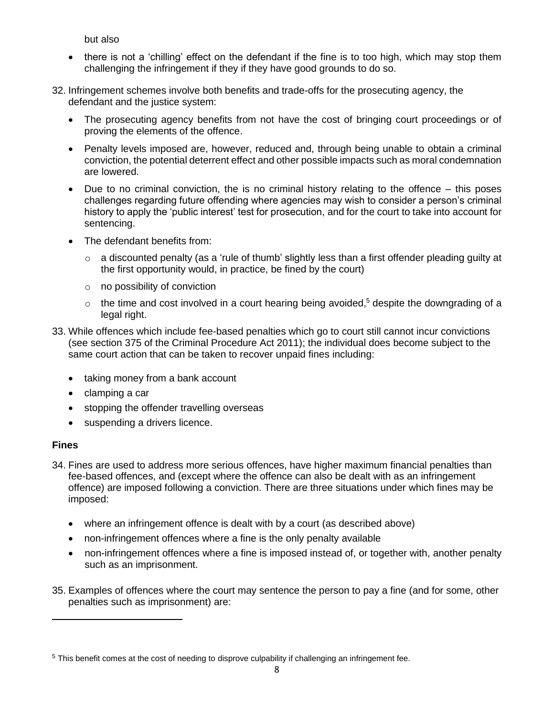but also

- there is not a 'chilling' effect on the defendant if the fine is to too high, which may stop them challenging the infringement if they if they have good grounds to do so.
- 32. Infringement schemes involve both benefits and trade-offs for the prosecuting agency, the defendant and the justice system:
	- The prosecuting agency benefits from not have the cost of bringing court proceedings or of proving the elements of the offence.
	- Penalty levels imposed are, however, reduced and, through being unable to obtain a criminal conviction, the potential deterrent effect and other possible impacts such as moral condemnation are lowered.
	- Due to no criminal conviction, the is no criminal history relating to the offence this poses challenges regarding future offending where agencies may wish to consider a person's criminal history to apply the 'public interest' test for prosecution, and for the court to take into account for sentencing.
	- The defendant benefits from:
		- $\circ$  a discounted penalty (as a 'rule of thumb' slightly less than a first offender pleading guilty at the first opportunity would, in practice, be fined by the court)
		- o no possibility of conviction
		- $\circ$  the time and cost involved in a court hearing being avoided,<sup>5</sup> despite the downgrading of a legal right.
- 33. While offences which include fee-based penalties which go to court still cannot incur convictions (see section 375 of the Criminal Procedure Act 2011); the individual does become subject to the same court action that can be taken to recover unpaid fines including:
	- taking money from a bank account
	- clamping a car
	- stopping the offender travelling overseas
	- suspending a drivers licence.

#### **Fines**

- 34. Fines are used to address more serious offences, have higher maximum financial penalties than fee-based offences, and (except where the offence can also be dealt with as an infringement offence) are imposed following a conviction. There are three situations under which fines may be imposed:
	- where an infringement offence is dealt with by a court (as described above)
	- non-infringement offences where a fine is the only penalty available
	- non-infringement offences where a fine is imposed instead of, or together with, another penalty such as an imprisonment.
- 35. Examples of offences where the court may sentence the person to pay a fine (and for some, other penalties such as imprisonment) are:

<sup>&</sup>lt;sup>5</sup> This benefit comes at the cost of needing to disprove culpability if challenging an infringement fee.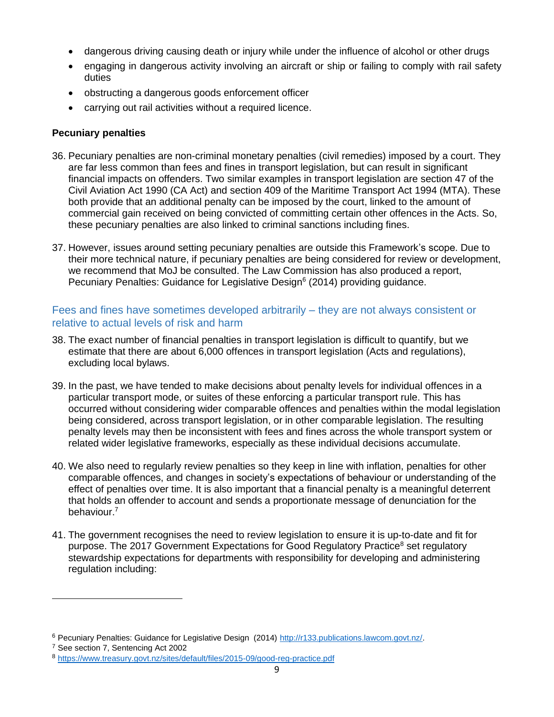- dangerous driving causing death or injury while under the influence of alcohol or other drugs
- engaging in dangerous activity involving an aircraft or ship or failing to comply with rail safety duties
- obstructing a dangerous goods enforcement officer
- carrying out rail activities without a required licence.

## **Pecuniary penalties**

- 36. Pecuniary penalties are non-criminal monetary penalties (civil remedies) imposed by a court. They are far less common than fees and fines in transport legislation, but can result in significant financial impacts on offenders. Two similar examples in transport legislation are section 47 of the Civil Aviation Act 1990 (CA Act) and section 409 of the Maritime Transport Act 1994 (MTA). These both provide that an additional penalty can be imposed by the court, linked to the amount of commercial gain received on being convicted of committing certain other offences in the Acts. So, these pecuniary penalties are also linked to criminal sanctions including fines.
- 37. However, issues around setting pecuniary penalties are outside this Framework's scope. Due to their more technical nature, if pecuniary penalties are being considered for review or development, we recommend that MoJ be consulted. The Law Commission has also produced a report, Pecuniary Penalties: Guidance for Legislative Design<sup>6</sup> (2014) providing guidance.

## <span id="page-8-0"></span>Fees and fines have sometimes developed arbitrarily – they are not always consistent or relative to actual levels of risk and harm

- 38. The exact number of financial penalties in transport legislation is difficult to quantify, but we estimate that there are about 6,000 offences in transport legislation (Acts and regulations), excluding local bylaws.
- 39. In the past, we have tended to make decisions about penalty levels for individual offences in a particular transport mode, or suites of these enforcing a particular transport rule. This has occurred without considering wider comparable offences and penalties within the modal legislation being considered, across transport legislation, or in other comparable legislation. The resulting penalty levels may then be inconsistent with fees and fines across the whole transport system or related wider legislative frameworks, especially as these individual decisions accumulate.
- 40. We also need to regularly review penalties so they keep in line with inflation, penalties for other comparable offences, and changes in society's expectations of behaviour or understanding of the effect of penalties over time. It is also important that a financial penalty is a meaningful deterrent that holds an offender to account and sends a proportionate message of denunciation for the behaviour.<sup>7</sup>
- 41. The government recognises the need to review legislation to ensure it is up-to-date and fit for purpose. The 2017 Government Expectations for Good Regulatory Practice<sup>8</sup> set regulatory stewardship expectations for departments with responsibility for developing and administering regulation including:

<sup>&</sup>lt;sup>6</sup> Pecuniary Penalties: Guidance for Legislative Design (2014) [http://r133.publications.lawcom.govt.nz/.](http://r133.publications.lawcom.govt.nz/)

<sup>7</sup> See section 7, Sentencing Act 2002

<sup>8</sup> <https://www.treasury.govt.nz/sites/default/files/2015-09/good-reg-practice.pdf>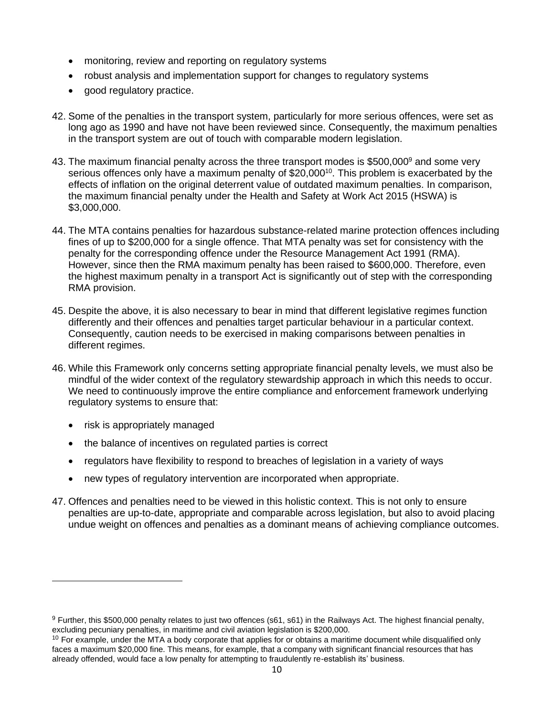- monitoring, review and reporting on regulatory systems
- robust analysis and implementation support for changes to regulatory systems
- good regulatory practice.
- 42. Some of the penalties in the transport system, particularly for more serious offences, were set as long ago as 1990 and have not have been reviewed since. Consequently, the maximum penalties in the transport system are out of touch with comparable modern legislation.
- 43. The maximum financial penalty across the three transport modes is \$500,000<sup>9</sup> and some very serious offences only have a maximum penalty of \$20,000<sup>10</sup>. This problem is exacerbated by the effects of inflation on the original deterrent value of outdated maximum penalties. In comparison, the maximum financial penalty under the Health and Safety at Work Act 2015 (HSWA) is \$3,000,000.
- 44. The MTA contains penalties for hazardous substance-related marine protection offences including fines of up to \$200,000 for a single offence. That MTA penalty was set for consistency with the penalty for the corresponding offence under the Resource Management Act 1991 (RMA). However, since then the RMA maximum penalty has been raised to \$600,000. Therefore, even the highest maximum penalty in a transport Act is significantly out of step with the corresponding RMA provision.
- 45. Despite the above, it is also necessary to bear in mind that different legislative regimes function differently and their offences and penalties target particular behaviour in a particular context. Consequently, caution needs to be exercised in making comparisons between penalties in different regimes.
- 46. While this Framework only concerns setting appropriate financial penalty levels, we must also be mindful of the wider context of the regulatory stewardship approach in which this needs to occur. We need to continuously improve the entire compliance and enforcement framework underlying regulatory systems to ensure that:
	- risk is appropriately managed
	- the balance of incentives on regulated parties is correct
	- regulators have flexibility to respond to breaches of legislation in a variety of ways
	- new types of regulatory intervention are incorporated when appropriate.
- 47. Offences and penalties need to be viewed in this holistic context. This is not only to ensure penalties are up-to-date, appropriate and comparable across legislation, but also to avoid placing undue weight on offences and penalties as a dominant means of achieving compliance outcomes.

<sup>9</sup> Further, this \$500,000 penalty relates to just two offences (s61, s61) in the Railways Act. The highest financial penalty, excluding pecuniary penalties, in maritime and civil aviation legislation is \$200,000.

<sup>&</sup>lt;sup>10</sup> For example, under the MTA a body corporate that applies for or obtains a maritime document while disqualified only faces a maximum \$20,000 fine. This means, for example, that a company with significant financial resources that has already offended, would face a low penalty for attempting to fraudulently re-establish its' business.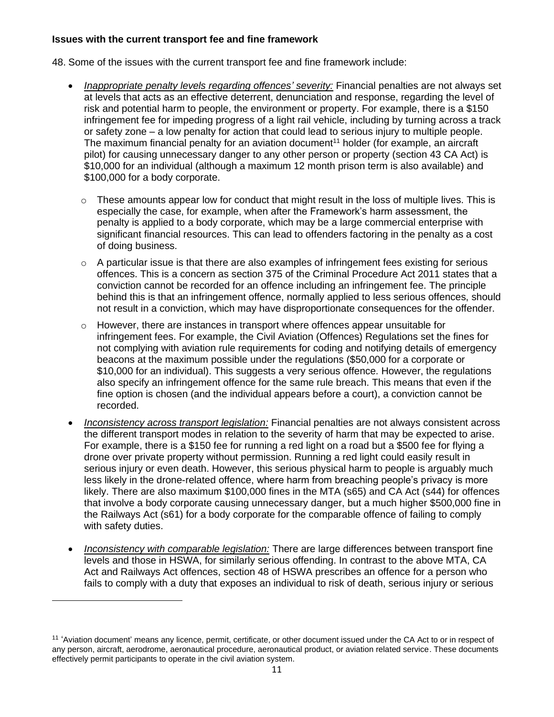#### **Issues with the current transport fee and fine framework**

48. Some of the issues with the current transport fee and fine framework include:

- *Inappropriate penalty levels regarding offences' severity:* Financial penalties are not always set at levels that acts as an effective deterrent, denunciation and response, regarding the level of risk and potential harm to people, the environment or property. For example, there is a \$150 infringement fee for impeding progress of a light rail vehicle, including by turning across a track or safety zone – a low penalty for action that could lead to serious injury to multiple people. The maximum financial penalty for an aviation document<sup>11</sup> holder (for example, an aircraft pilot) for causing unnecessary danger to any other person or property (section 43 CA Act) is \$10,000 for an individual (although a maximum 12 month prison term is also available) and \$100,000 for a body corporate.
	- $\circ$  These amounts appear low for conduct that might result in the loss of multiple lives. This is especially the case, for example, when after the Framework's harm assessment, the penalty is applied to a body corporate, which may be a large commercial enterprise with significant financial resources. This can lead to offenders factoring in the penalty as a cost of doing business.
	- $\circ$  A particular issue is that there are also examples of infringement fees existing for serious offences. This is a concern as section 375 of the Criminal Procedure Act 2011 states that a conviction cannot be recorded for an offence including an infringement fee. The principle behind this is that an infringement offence, normally applied to less serious offences, should not result in a conviction, which may have disproportionate consequences for the offender.
	- $\circ$  However, there are instances in transport where offences appear unsuitable for infringement fees. For example, the Civil Aviation (Offences) Regulations set the fines for not complying with aviation rule requirements for coding and notifying details of emergency beacons at the maximum possible under the regulations (\$50,000 for a corporate or \$10,000 for an individual). This suggests a very serious offence. However, the regulations also specify an infringement offence for the same rule breach. This means that even if the fine option is chosen (and the individual appears before a court), a conviction cannot be recorded.
- *Inconsistency across transport legislation:* Financial penalties are not always consistent across the different transport modes in relation to the severity of harm that may be expected to arise. For example, there is a \$150 fee for running a red light on a road but a \$500 fee for flying a drone over private property without permission. Running a red light could easily result in serious injury or even death. However, this serious physical harm to people is arguably much less likely in the drone-related offence, where harm from breaching people's privacy is more likely. There are also maximum \$100,000 fines in the MTA (s65) and CA Act (s44) for offences that involve a body corporate causing unnecessary danger, but a much higher \$500,000 fine in the Railways Act (s61) for a body corporate for the comparable offence of failing to comply with safety duties.
- *Inconsistency with comparable legislation:* There are large differences between transport fine levels and those in HSWA, for similarly serious offending. In contrast to the above MTA, CA Act and Railways Act offences, section 48 of HSWA prescribes an offence for a person who fails to comply with a duty that exposes an individual to risk of death, serious injury or serious

<sup>&</sup>lt;sup>11</sup> 'Aviation document' means any licence, permit, certificate, or other document issued under the CA Act to or in respect of any person, aircraft, aerodrome, aeronautical procedure, aeronautical product, or aviation related service. These documents effectively permit participants to operate in the civil aviation system.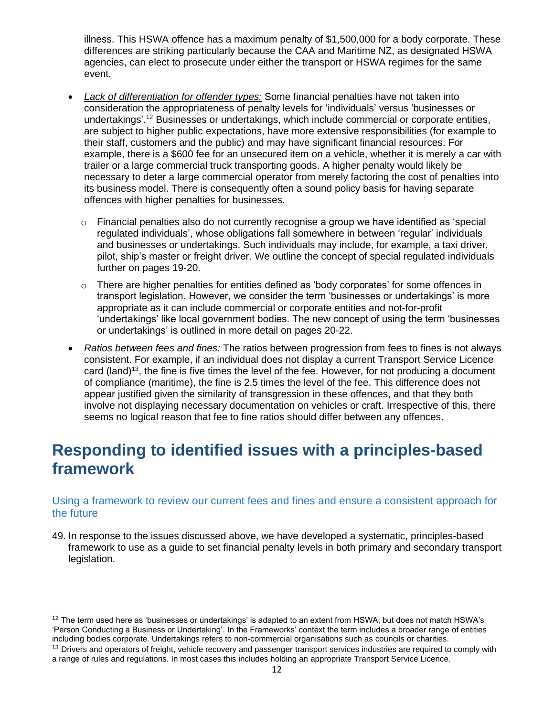illness. This HSWA offence has a maximum penalty of \$1,500,000 for a body corporate. These differences are striking particularly because the CAA and Maritime NZ, as designated HSWA agencies, can elect to prosecute under either the transport or HSWA regimes for the same event.

- *Lack of differentiation for offender types:* Some financial penalties have not taken into consideration the appropriateness of penalty levels for 'individuals' versus 'businesses or undertakings'.<sup>12</sup> Businesses or undertakings, which include commercial or corporate entities, are subject to higher public expectations, have more extensive responsibilities (for example to their staff, customers and the public) and may have significant financial resources. For example, there is a \$600 fee for an unsecured item on a vehicle, whether it is merely a car with trailer or a large commercial truck transporting goods. A higher penalty would likely be necessary to deter a large commercial operator from merely factoring the cost of penalties into its business model. There is consequently often a sound policy basis for having separate offences with higher penalties for businesses.
	- $\circ$  Financial penalties also do not currently recognise a group we have identified as 'special regulated individuals', whose obligations fall somewhere in between 'regular' individuals and businesses or undertakings. Such individuals may include, for example, a taxi driver, pilot, ship's master or freight driver. We outline the concept of special regulated individuals further on pages 19-20.
	- $\circ$  There are higher penalties for entities defined as 'body corporates' for some offences in transport legislation. However, we consider the term 'businesses or undertakings' is more appropriate as it can include commercial or corporate entities and not-for-profit 'undertakings' like local government bodies. The new concept of using the term 'businesses or undertakings' is outlined in more detail on pages 20-22.
- *Ratios between fees and fines:* The ratios between progression from fees to fines is not always consistent. For example, if an individual does not display a current Transport Service Licence card (land)<sup>13</sup>, the fine is five times the level of the fee. However, for not producing a document of compliance (maritime), the fine is 2.5 times the level of the fee. This difference does not appear justified given the similarity of transgression in these offences, and that they both involve not displaying necessary documentation on vehicles or craft. Irrespective of this, there seems no logical reason that fee to fine ratios should differ between any offences.

# <span id="page-11-0"></span>**Responding to identified issues with a principles-based framework**

## <span id="page-11-1"></span>Using a framework to review our current fees and fines and ensure a consistent approach for the future

49. In response to the issues discussed above, we have developed a systematic, principles-based framework to use as a guide to set financial penalty levels in both primary and secondary transport legislation.

 $12$  The term used here as 'businesses or undertakings' is adapted to an extent from HSWA, but does not match HSWA's 'Person Conducting a Business or Undertaking'. In the Frameworks' context the term includes a broader range of entities including bodies corporate. Undertakings refers to non-commercial organisations such as councils or charities. <sup>13</sup> Drivers and operators of freight, vehicle recovery and passenger transport services industries are required to comply with

a range of rules and regulations. In most cases this includes holding an appropriate Transport Service Licence.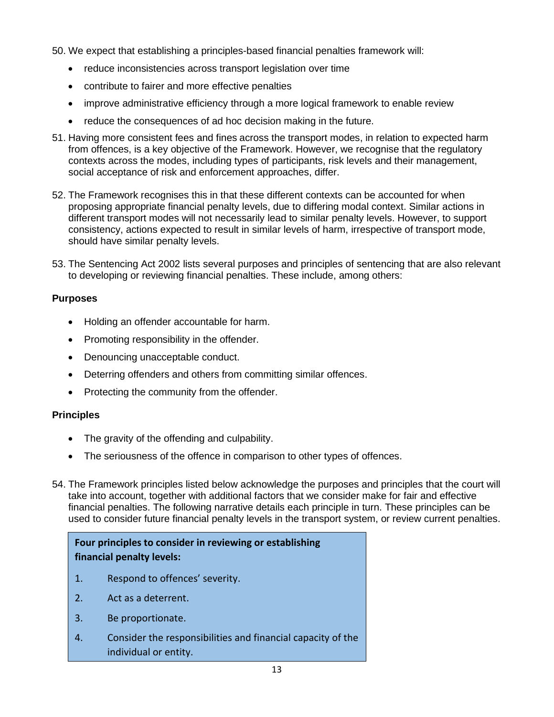50. We expect that establishing a principles-based financial penalties framework will:

- reduce inconsistencies across transport legislation over time
- contribute to fairer and more effective penalties
- improve administrative efficiency through a more logical framework to enable review
- reduce the consequences of ad hoc decision making in the future.
- 51. Having more consistent fees and fines across the transport modes, in relation to expected harm from offences, is a key objective of the Framework. However, we recognise that the regulatory contexts across the modes, including types of participants, risk levels and their management, social acceptance of risk and enforcement approaches, differ.
- 52. The Framework recognises this in that these different contexts can be accounted for when proposing appropriate financial penalty levels, due to differing modal context. Similar actions in different transport modes will not necessarily lead to similar penalty levels. However, to support consistency, actions expected to result in similar levels of harm, irrespective of transport mode, should have similar penalty levels.
- 53. The Sentencing Act 2002 lists several purposes and principles of sentencing that are also relevant to developing or reviewing financial penalties. These include, among others:

### **Purposes**

- Holding an offender accountable for harm.
- Promoting responsibility in the offender.
- Denouncing unacceptable conduct.
- Deterring offenders and others from committing similar offences.
- Protecting the community from the offender.

#### **Principles**

- The gravity of the offending and culpability.
- The seriousness of the offence in comparison to other types of offences.
- 54. The Framework principles listed below acknowledge the purposes and principles that the court will take into account, together with additional factors that we consider make for fair and effective financial penalties. The following narrative details each principle in turn. These principles can be used to consider future financial penalty levels in the transport system, or review current penalties.

## **Four principles to consider in reviewing or establishing financial penalty levels:**

- 1. Respond to offences' severity.
- 2. Act as a deterrent.
- 3. Be proportionate.
- 4. Consider the responsibilities and financial capacity of the individual or entity.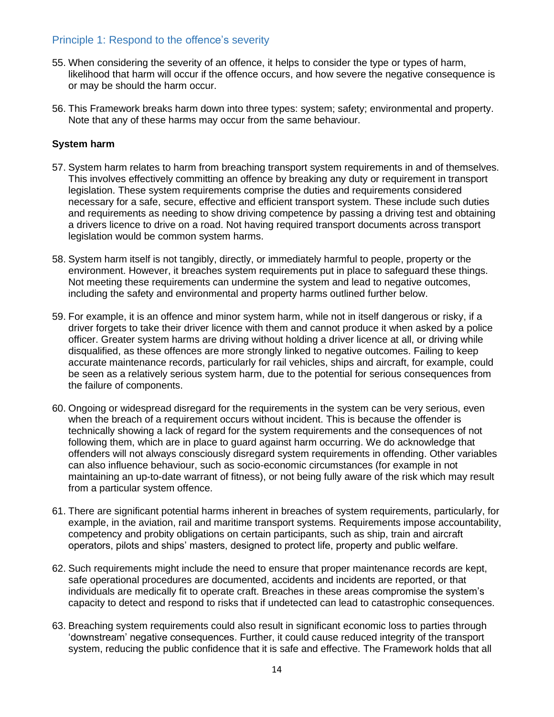## <span id="page-13-0"></span>Principle 1: Respond to the offence's severity

- 55. When considering the severity of an offence, it helps to consider the type or types of harm, likelihood that harm will occur if the offence occurs, and how severe the negative consequence is or may be should the harm occur.
- 56. This Framework breaks harm down into three types: system; safety; environmental and property. Note that any of these harms may occur from the same behaviour.

#### **System harm**

- 57. System harm relates to harm from breaching transport system requirements in and of themselves. This involves effectively committing an offence by breaking any duty or requirement in transport legislation. These system requirements comprise the duties and requirements considered necessary for a safe, secure, effective and efficient transport system. These include such duties and requirements as needing to show driving competence by passing a driving test and obtaining a drivers licence to drive on a road. Not having required transport documents across transport legislation would be common system harms.
- 58. System harm itself is not tangibly, directly, or immediately harmful to people, property or the environment. However, it breaches system requirements put in place to safeguard these things. Not meeting these requirements can undermine the system and lead to negative outcomes, including the safety and environmental and property harms outlined further below.
- 59. For example, it is an offence and minor system harm, while not in itself dangerous or risky, if a driver forgets to take their driver licence with them and cannot produce it when asked by a police officer. Greater system harms are driving without holding a driver licence at all, or driving while disqualified, as these offences are more strongly linked to negative outcomes. Failing to keep accurate maintenance records, particularly for rail vehicles, ships and aircraft, for example, could be seen as a relatively serious system harm, due to the potential for serious consequences from the failure of components.
- 60. Ongoing or widespread disregard for the requirements in the system can be very serious, even when the breach of a requirement occurs without incident. This is because the offender is technically showing a lack of regard for the system requirements and the consequences of not following them, which are in place to guard against harm occurring. We do acknowledge that offenders will not always consciously disregard system requirements in offending. Other variables can also influence behaviour, such as socio-economic circumstances (for example in not maintaining an up-to-date warrant of fitness), or not being fully aware of the risk which may result from a particular system offence.
- 61. There are significant potential harms inherent in breaches of system requirements, particularly, for example, in the aviation, rail and maritime transport systems. Requirements impose accountability, competency and probity obligations on certain participants, such as ship, train and aircraft operators, pilots and ships' masters, designed to protect life, property and public welfare.
- 62. Such requirements might include the need to ensure that proper maintenance records are kept, safe operational procedures are documented, accidents and incidents are reported, or that individuals are medically fit to operate craft. Breaches in these areas compromise the system's capacity to detect and respond to risks that if undetected can lead to catastrophic consequences.
- 63. Breaching system requirements could also result in significant economic loss to parties through 'downstream' negative consequences. Further, it could cause reduced integrity of the transport system, reducing the public confidence that it is safe and effective. The Framework holds that all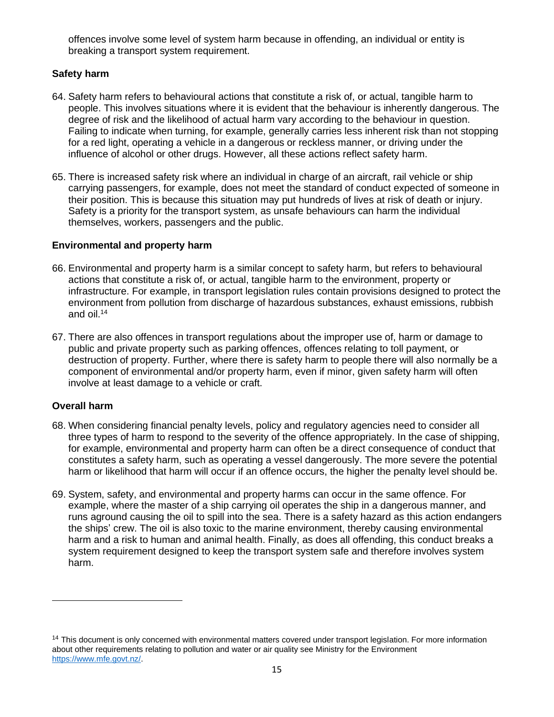offences involve some level of system harm because in offending, an individual or entity is breaking a transport system requirement.

## **Safety harm**

- 64. Safety harm refers to behavioural actions that constitute a risk of, or actual, tangible harm to people. This involves situations where it is evident that the behaviour is inherently dangerous. The degree of risk and the likelihood of actual harm vary according to the behaviour in question. Failing to indicate when turning, for example, generally carries less inherent risk than not stopping for a red light, operating a vehicle in a dangerous or reckless manner, or driving under the influence of alcohol or other drugs. However, all these actions reflect safety harm.
- 65. There is increased safety risk where an individual in charge of an aircraft, rail vehicle or ship carrying passengers, for example, does not meet the standard of conduct expected of someone in their position. This is because this situation may put hundreds of lives at risk of death or injury. Safety is a priority for the transport system, as unsafe behaviours can harm the individual themselves, workers, passengers and the public.

### **Environmental and property harm**

- 66. Environmental and property harm is a similar concept to safety harm, but refers to behavioural actions that constitute a risk of, or actual, tangible harm to the environment, property or infrastructure. For example, in transport legislation rules contain provisions designed to protect the environment from pollution from discharge of hazardous substances, exhaust emissions, rubbish and oil.<sup>14</sup>
- 67. There are also offences in transport regulations about the improper use of, harm or damage to public and private property such as parking offences, offences relating to toll payment, or destruction of property. Further, where there is safety harm to people there will also normally be a component of environmental and/or property harm, even if minor, given safety harm will often involve at least damage to a vehicle or craft.

## **Overall harm**

- 68. When considering financial penalty levels, policy and regulatory agencies need to consider all three types of harm to respond to the severity of the offence appropriately. In the case of shipping, for example, environmental and property harm can often be a direct consequence of conduct that constitutes a safety harm, such as operating a vessel dangerously. The more severe the potential harm or likelihood that harm will occur if an offence occurs, the higher the penalty level should be.
- 69. System, safety, and environmental and property harms can occur in the same offence. For example, where the master of a ship carrying oil operates the ship in a dangerous manner, and runs aground causing the oil to spill into the sea. There is a safety hazard as this action endangers the ships' crew. The oil is also toxic to the marine environment, thereby causing environmental harm and a risk to human and animal health. Finally, as does all offending, this conduct breaks a system requirement designed to keep the transport system safe and therefore involves system harm.

<sup>&</sup>lt;sup>14</sup> This document is only concerned with environmental matters covered under transport legislation. For more information about other requirements relating to pollution and water or air quality see Ministry for the Environment [https://www.mfe.govt.nz/.](https://www.mfe.govt.nz/)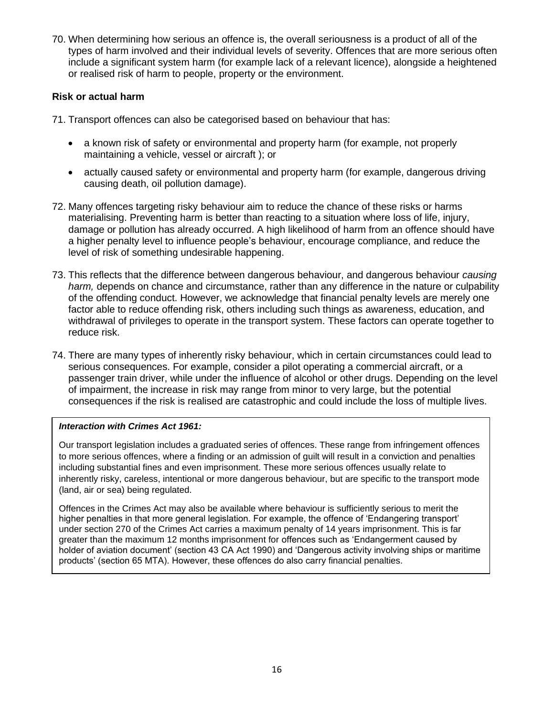70. When determining how serious an offence is, the overall seriousness is a product of all of the types of harm involved and their individual levels of severity. Offences that are more serious often include a significant system harm (for example lack of a relevant licence), alongside a heightened or realised risk of harm to people, property or the environment.

#### **Risk or actual harm**

71. Transport offences can also be categorised based on behaviour that has:

- a known risk of safety or environmental and property harm (for example, not properly maintaining a vehicle, vessel or aircraft ); or
- actually caused safety or environmental and property harm (for example, dangerous driving causing death, oil pollution damage).
- 72. Many offences targeting risky behaviour aim to reduce the chance of these risks or harms materialising. Preventing harm is better than reacting to a situation where loss of life, injury, damage or pollution has already occurred. A high likelihood of harm from an offence should have a higher penalty level to influence people's behaviour, encourage compliance, and reduce the level of risk of something undesirable happening.
- 73. This reflects that the difference between dangerous behaviour, and dangerous behaviour *causing harm,* depends on chance and circumstance, rather than any difference in the nature or culpability of the offending conduct. However, we acknowledge that financial penalty levels are merely one factor able to reduce offending risk, others including such things as awareness, education, and withdrawal of privileges to operate in the transport system. These factors can operate together to reduce risk.
- 74. There are many types of inherently risky behaviour, which in certain circumstances could lead to serious consequences. For example, consider a pilot operating a commercial aircraft, or a passenger train driver, while under the influence of alcohol or other drugs. Depending on the level of impairment, the increase in risk may range from minor to very large, but the potential consequences if the risk is realised are catastrophic and could include the loss of multiple lives.

#### *Interaction with Crimes Act 1961:*

Our transport legislation includes a graduated series of offences. These range from infringement offences to more serious offences, where a finding or an admission of guilt will result in a conviction and penalties including substantial fines and even imprisonment. These more serious offences usually relate to inherently risky, careless, intentional or more dangerous behaviour, but are specific to the transport mode (land, air or sea) being regulated.

Offences in the Crimes Act may also be available where behaviour is sufficiently serious to merit the higher penalties in that more general legislation. For example, the offence of 'Endangering transport' under section 270 of the Crimes Act carries a maximum penalty of 14 years imprisonment. This is far greater than the maximum 12 months imprisonment for offences such as 'Endangerment caused by holder of aviation document' (section 43 CA Act 1990) and 'Dangerous activity involving ships or maritime products' (section 65 MTA). However, these offences do also carry financial penalties.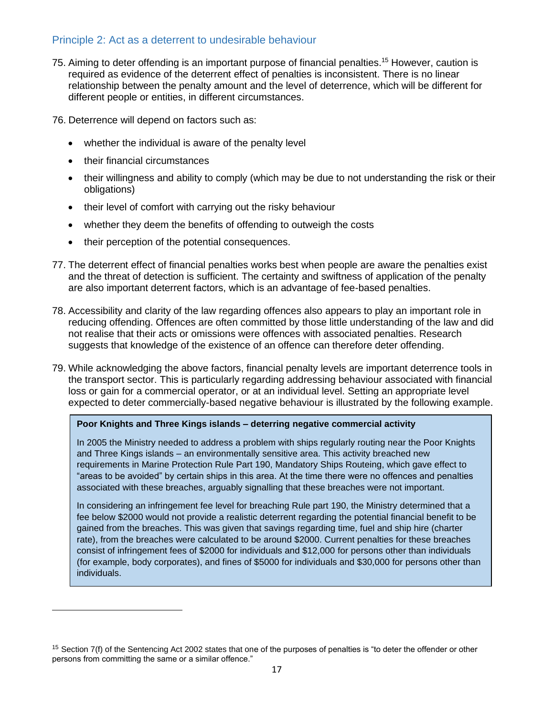## <span id="page-16-0"></span>Principle 2: Act as a deterrent to undesirable behaviour

75. Aiming to deter offending is an important purpose of financial penalties. <sup>15</sup> However, caution is required as evidence of the deterrent effect of penalties is inconsistent. There is no linear relationship between the penalty amount and the level of deterrence, which will be different for different people or entities, in different circumstances.

76. Deterrence will depend on factors such as:

- whether the individual is aware of the penalty level
- their financial circumstances
- their willingness and ability to comply (which may be due to not understanding the risk or their obligations)
- their level of comfort with carrying out the risky behaviour
- whether they deem the benefits of offending to outweigh the costs
- their perception of the potential consequences.
- 77. The deterrent effect of financial penalties works best when people are aware the penalties exist and the threat of detection is sufficient. The certainty and swiftness of application of the penalty are also important deterrent factors, which is an advantage of fee-based penalties.
- 78. Accessibility and clarity of the law regarding offences also appears to play an important role in reducing offending. Offences are often committed by those little understanding of the law and did not realise that their acts or omissions were offences with associated penalties. Research suggests that knowledge of the existence of an offence can therefore deter offending.
- 79. While acknowledging the above factors, financial penalty levels are important deterrence tools in the transport sector. This is particularly regarding addressing behaviour associated with financial loss or gain for a commercial operator, or at an individual level. Setting an appropriate level expected to deter commercially-based negative behaviour is illustrated by the following example.

#### **Poor Knights and Three Kings islands – deterring negative commercial activity**

In 2005 the Ministry needed to address a problem with ships regularly routing near the Poor Knights and Three Kings islands – an environmentally sensitive area. This activity breached new requirements in Marine Protection Rule Part 190, Mandatory Ships Routeing, which gave effect to "areas to be avoided" by certain ships in this area. At the time there were no offences and penalties associated with these breaches, arguably signalling that these breaches were not important.

In considering an infringement fee level for breaching Rule part 190, the Ministry determined that a fee below \$2000 would not provide a realistic deterrent regarding the potential financial benefit to be gained from the breaches. This was given that savings regarding time, fuel and ship hire (charter rate), from the breaches were calculated to be around \$2000. Current penalties for these breaches consist of infringement fees of \$2000 for individuals and \$12,000 for persons other than individuals (for example, body corporates), and fines of \$5000 for individuals and \$30,000 for persons other than individuals.

<sup>&</sup>lt;sup>15</sup> Section 7(f) of the Sentencing Act 2002 states that one of the purposes of penalties is "to deter the offender or other persons from committing the same or a similar offence."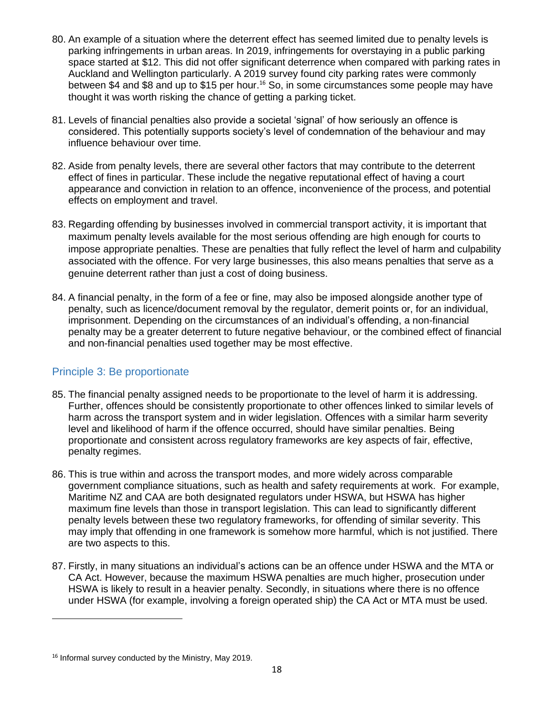- 80. An example of a situation where the deterrent effect has seemed limited due to penalty levels is parking infringements in urban areas. In 2019, infringements for overstaying in a public parking space started at \$12. This did not offer significant deterrence when compared with parking rates in Auckland and Wellington particularly. A 2019 survey found city parking rates were commonly between \$4 and \$8 and up to \$15 per hour. <sup>16</sup> So, in some circumstances some people may have thought it was worth risking the chance of getting a parking ticket.
- 81. Levels of financial penalties also provide a societal 'signal' of how seriously an offence is considered. This potentially supports society's level of condemnation of the behaviour and may influence behaviour over time.
- 82. Aside from penalty levels, there are several other factors that may contribute to the deterrent effect of fines in particular. These include the negative reputational effect of having a court appearance and conviction in relation to an offence, inconvenience of the process, and potential effects on employment and travel.
- 83. Regarding offending by businesses involved in commercial transport activity, it is important that maximum penalty levels available for the most serious offending are high enough for courts to impose appropriate penalties. These are penalties that fully reflect the level of harm and culpability associated with the offence. For very large businesses, this also means penalties that serve as a genuine deterrent rather than just a cost of doing business.
- 84. A financial penalty, in the form of a fee or fine, may also be imposed alongside another type of penalty, such as licence/document removal by the regulator, demerit points or, for an individual, imprisonment. Depending on the circumstances of an individual's offending, a non-financial penalty may be a greater deterrent to future negative behaviour, or the combined effect of financial and non-financial penalties used together may be most effective.

## <span id="page-17-0"></span>Principle 3: Be proportionate

- 85. The financial penalty assigned needs to be proportionate to the level of harm it is addressing. Further, offences should be consistently proportionate to other offences linked to similar levels of harm across the transport system and in wider legislation. Offences with a similar harm severity level and likelihood of harm if the offence occurred, should have similar penalties. Being proportionate and consistent across regulatory frameworks are key aspects of fair, effective, penalty regimes.
- 86. This is true within and across the transport modes, and more widely across comparable government compliance situations, such as health and safety requirements at work. For example, Maritime NZ and CAA are both designated regulators under HSWA, but HSWA has higher maximum fine levels than those in transport legislation. This can lead to significantly different penalty levels between these two regulatory frameworks, for offending of similar severity. This may imply that offending in one framework is somehow more harmful, which is not justified. There are two aspects to this.
- 87. Firstly, in many situations an individual's actions can be an offence under HSWA and the MTA or CA Act. However, because the maximum HSWA penalties are much higher, prosecution under HSWA is likely to result in a heavier penalty. Secondly, in situations where there is no offence under HSWA (for example, involving a foreign operated ship) the CA Act or MTA must be used.

<sup>&</sup>lt;sup>16</sup> Informal survey conducted by the Ministry, May 2019.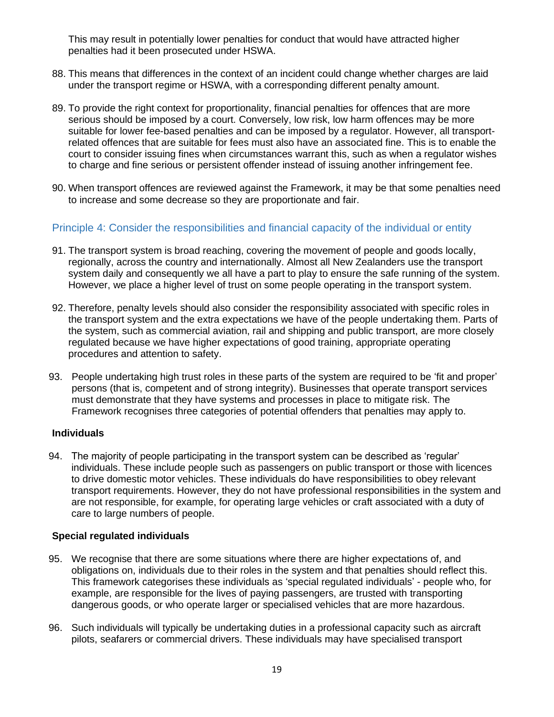This may result in potentially lower penalties for conduct that would have attracted higher penalties had it been prosecuted under HSWA.

- 88. This means that differences in the context of an incident could change whether charges are laid under the transport regime or HSWA, with a corresponding different penalty amount.
- 89. To provide the right context for proportionality, financial penalties for offences that are more serious should be imposed by a court. Conversely, low risk, low harm offences may be more suitable for lower fee-based penalties and can be imposed by a regulator. However, all transportrelated offences that are suitable for fees must also have an associated fine. This is to enable the court to consider issuing fines when circumstances warrant this, such as when a regulator wishes to charge and fine serious or persistent offender instead of issuing another infringement fee.
- 90. When transport offences are reviewed against the Framework, it may be that some penalties need to increase and some decrease so they are proportionate and fair.

### <span id="page-18-0"></span>Principle 4: Consider the responsibilities and financial capacity of the individual or entity

- 91. The transport system is broad reaching, covering the movement of people and goods locally, regionally, across the country and internationally. Almost all New Zealanders use the transport system daily and consequently we all have a part to play to ensure the safe running of the system. However, we place a higher level of trust on some people operating in the transport system.
- 92. Therefore, penalty levels should also consider the responsibility associated with specific roles in the transport system and the extra expectations we have of the people undertaking them. Parts of the system, such as commercial aviation, rail and shipping and public transport, are more closely regulated because we have higher expectations of good training, appropriate operating procedures and attention to safety.
- 93. People undertaking high trust roles in these parts of the system are required to be 'fit and proper' persons (that is, competent and of strong integrity). Businesses that operate transport services must demonstrate that they have systems and processes in place to mitigate risk. The Framework recognises three categories of potential offenders that penalties may apply to.

#### **Individuals**

94. The majority of people participating in the transport system can be described as 'regular' individuals. These include people such as passengers on public transport or those with licences to drive domestic motor vehicles. These individuals do have responsibilities to obey relevant transport requirements. However, they do not have professional responsibilities in the system and are not responsible, for example, for operating large vehicles or craft associated with a duty of care to large numbers of people.

#### **Special regulated individuals**

- 95. We recognise that there are some situations where there are higher expectations of, and obligations on, individuals due to their roles in the system and that penalties should reflect this. This framework categorises these individuals as 'special regulated individuals' - people who, for example, are responsible for the lives of paying passengers, are trusted with transporting dangerous goods, or who operate larger or specialised vehicles that are more hazardous.
- 96. Such individuals will typically be undertaking duties in a professional capacity such as aircraft pilots, seafarers or commercial drivers. These individuals may have specialised transport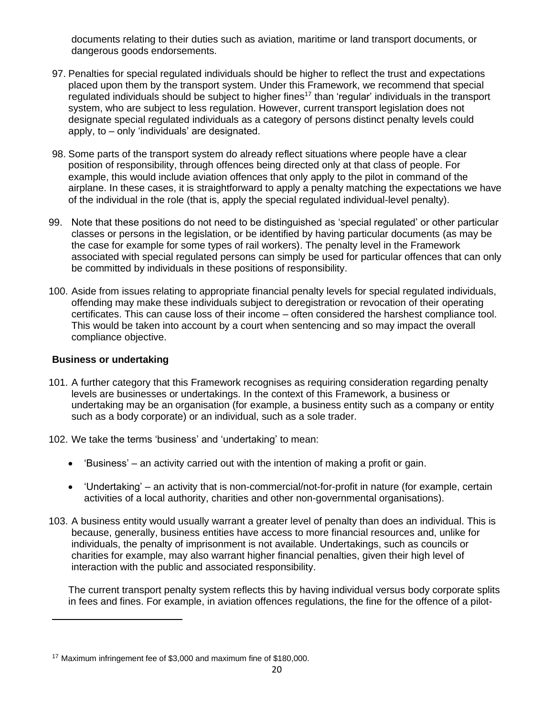documents relating to their duties such as aviation, maritime or land transport documents, or dangerous goods endorsements.

- 97. Penalties for special regulated individuals should be higher to reflect the trust and expectations placed upon them by the transport system. Under this Framework, we recommend that special regulated individuals should be subject to higher fines<sup>17</sup> than 'regular' individuals in the transport system, who are subject to less regulation. However, current transport legislation does not designate special regulated individuals as a category of persons distinct penalty levels could apply, to – only 'individuals' are designated.
- 98. Some parts of the transport system do already reflect situations where people have a clear position of responsibility, through offences being directed only at that class of people. For example, this would include aviation offences that only apply to the pilot in command of the airplane. In these cases, it is straightforward to apply a penalty matching the expectations we have of the individual in the role (that is, apply the special regulated individual-level penalty).
- 99. Note that these positions do not need to be distinguished as 'special regulated' or other particular classes or persons in the legislation, or be identified by having particular documents (as may be the case for example for some types of rail workers). The penalty level in the Framework associated with special regulated persons can simply be used for particular offences that can only be committed by individuals in these positions of responsibility.
- 100. Aside from issues relating to appropriate financial penalty levels for special regulated individuals, offending may make these individuals subject to deregistration or revocation of their operating certificates. This can cause loss of their income – often considered the harshest compliance tool. This would be taken into account by a court when sentencing and so may impact the overall compliance objective.

#### **Business or undertaking**

- 101. A further category that this Framework recognises as requiring consideration regarding penalty levels are businesses or undertakings. In the context of this Framework, a business or undertaking may be an organisation (for example, a business entity such as a company or entity such as a body corporate) or an individual, such as a sole trader.
- 102. We take the terms 'business' and 'undertaking' to mean:
	- 'Business' an activity carried out with the intention of making a profit or gain.
	- 'Undertaking' an activity that is non-commercial/not-for-profit in nature (for example, certain activities of a local authority, charities and other non-governmental organisations).
- 103. A business entity would usually warrant a greater level of penalty than does an individual. This is because, generally, business entities have access to more financial resources and, unlike for individuals, the penalty of imprisonment is not available. Undertakings, such as councils or charities for example, may also warrant higher financial penalties, given their high level of interaction with the public and associated responsibility.

The current transport penalty system reflects this by having individual versus body corporate splits in fees and fines. For example, in aviation offences regulations, the fine for the offence of a pilot-

<sup>17</sup> Maximum infringement fee of \$3,000 and maximum fine of \$180,000.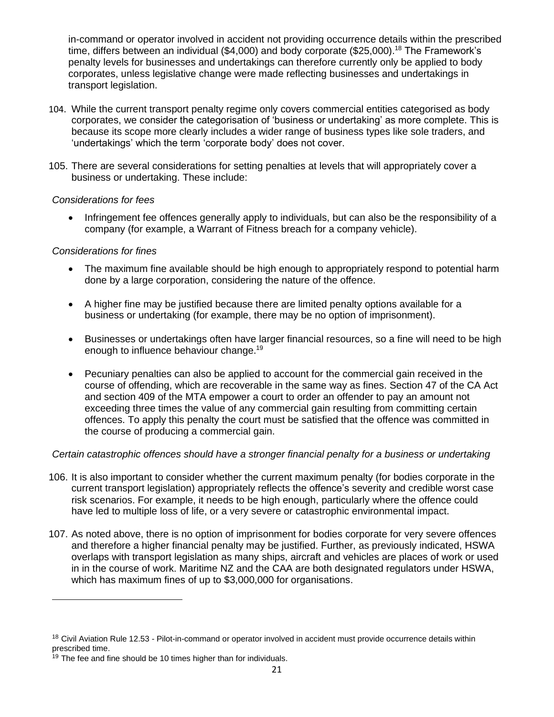in-command or operator involved in accident not providing occurrence details within the prescribed time, differs between an individual (\$4,000) and body corporate (\$25,000).<sup>18</sup> The Framework's penalty levels for businesses and undertakings can therefore currently only be applied to body corporates, unless legislative change were made reflecting businesses and undertakings in transport legislation.

- 104. While the current transport penalty regime only covers commercial entities categorised as body corporates, we consider the categorisation of 'business or undertaking' as more complete. This is because its scope more clearly includes a wider range of business types like sole traders, and 'undertakings' which the term 'corporate body' does not cover.
- 105. There are several considerations for setting penalties at levels that will appropriately cover a business or undertaking. These include:

#### *Considerations for fees*

• Infringement fee offences generally apply to individuals, but can also be the responsibility of a company (for example, a Warrant of Fitness breach for a company vehicle).

#### *Considerations for fines*

- The maximum fine available should be high enough to appropriately respond to potential harm done by a large corporation, considering the nature of the offence.
- A higher fine may be justified because there are limited penalty options available for a business or undertaking (for example, there may be no option of imprisonment).
- Businesses or undertakings often have larger financial resources, so a fine will need to be high enough to influence behaviour change.<sup>19</sup>
- Pecuniary penalties can also be applied to account for the commercial gain received in the course of offending, which are recoverable in the same way as fines. Section 47 of the CA Act and section 409 of the MTA empower a court to order an offender to pay an amount not exceeding three times the value of any commercial gain resulting from committing certain offences. To apply this penalty the court must be satisfied that the offence was committed in the course of producing a commercial gain.

#### *Certain catastrophic offences should have a stronger financial penalty for a business or undertaking*

- 106. It is also important to consider whether the current maximum penalty (for bodies corporate in the current transport legislation) appropriately reflects the offence's severity and credible worst case risk scenarios. For example, it needs to be high enough, particularly where the offence could have led to multiple loss of life, or a very severe or catastrophic environmental impact.
- 107. As noted above, there is no option of imprisonment for bodies corporate for very severe offences and therefore a higher financial penalty may be justified. Further, as previously indicated, HSWA overlaps with transport legislation as many ships, aircraft and vehicles are places of work or used in in the course of work. Maritime NZ and the CAA are both designated regulators under HSWA, which has maximum fines of up to \$3,000,000 for organisations.

<sup>&</sup>lt;sup>18</sup> Civil Aviation Rule 12.53 - Pilot-in-command or operator involved in accident must provide occurrence details within prescribed time.

 $19$  The fee and fine should be 10 times higher than for individuals.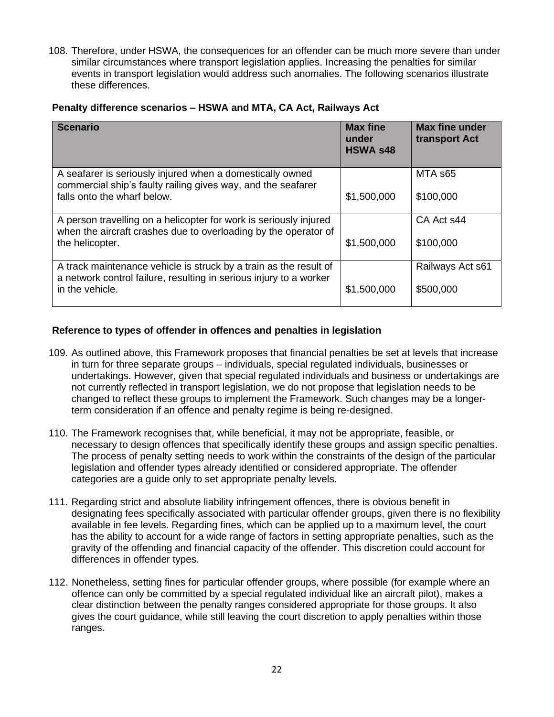108. Therefore, under HSWA, the consequences for an offender can be much more severe than under similar circumstances where transport legislation applies. Increasing the penalties for similar events in transport legislation would address such anomalies. The following scenarios illustrate these differences.

| <b>Scenario</b>                                                                                                                                            | <b>Max fine</b><br>under<br><b>HSWA s48</b> | <b>Max fine under</b><br>transport Act |
|------------------------------------------------------------------------------------------------------------------------------------------------------------|---------------------------------------------|----------------------------------------|
| A seafarer is seriously injured when a domestically owned<br>commercial ship's faulty railing gives way, and the seafarer<br>falls onto the wharf below.   | \$1,500,000                                 | MTA s65<br>\$100,000                   |
| A person travelling on a helicopter for work is seriously injured<br>when the aircraft crashes due to overloading by the operator of<br>the helicopter.    | \$1,500,000                                 | CA Act s44<br>\$100,000                |
| A track maintenance vehicle is struck by a train as the result of<br>a network control failure, resulting in serious injury to a worker<br>in the vehicle. | \$1,500,000                                 | Railways Act s61<br>\$500,000          |

#### **Reference to types of offender in offences and penalties in legislation**

- 109. As outlined above, this Framework proposes that financial penalties be set at levels that increase in turn for three separate groups – individuals, special regulated individuals, businesses or undertakings. However, given that special regulated individuals and business or undertakings are not currently reflected in transport legislation, we do not propose that legislation needs to be changed to reflect these groups to implement the Framework. Such changes may be a longerterm consideration if an offence and penalty regime is being re-designed.
- 110. The Framework recognises that, while beneficial, it may not be appropriate, feasible, or necessary to design offences that specifically identify these groups and assign specific penalties. The process of penalty setting needs to work within the constraints of the design of the particular legislation and offender types already identified or considered appropriate. The offender categories are a guide only to set appropriate penalty levels.
- 111. Regarding strict and absolute liability infringement offences, there is obvious benefit in designating fees specifically associated with particular offender groups, given there is no flexibility available in fee levels. Regarding fines, which can be applied up to a maximum level, the court has the ability to account for a wide range of factors in setting appropriate penalties, such as the gravity of the offending and financial capacity of the offender. This discretion could account for differences in offender types.
- 112. Nonetheless, setting fines for particular offender groups, where possible (for example where an offence can only be committed by a special regulated individual like an aircraft pilot), makes a clear distinction between the penalty ranges considered appropriate for those groups. It also gives the court guidance, while still leaving the court discretion to apply penalties within those ranges.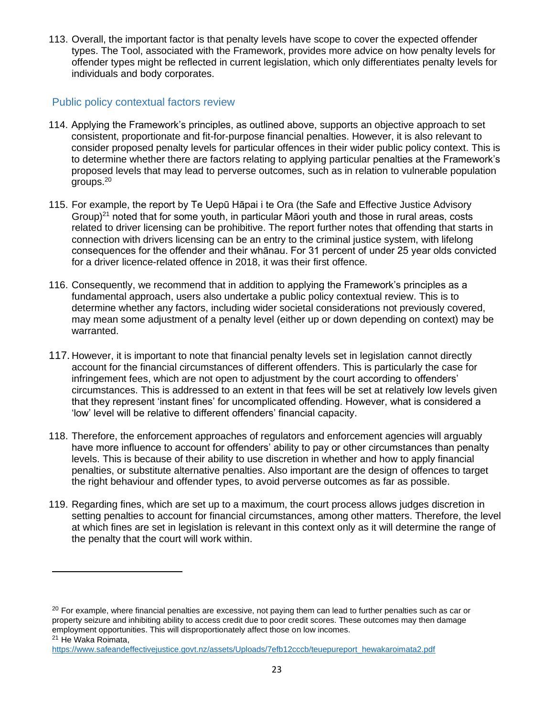113. Overall, the important factor is that penalty levels have scope to cover the expected offender types. The Tool, associated with the Framework, provides more advice on how penalty levels for offender types might be reflected in current legislation, which only differentiates penalty levels for individuals and body corporates.

## <span id="page-22-0"></span>Public policy contextual factors review

- 114. Applying the Framework's principles, as outlined above, supports an objective approach to set consistent, proportionate and fit-for-purpose financial penalties. However, it is also relevant to consider proposed penalty levels for particular offences in their wider public policy context. This is to determine whether there are factors relating to applying particular penalties at the Framework's proposed levels that may lead to perverse outcomes, such as in relation to vulnerable population groups. 20
- 115. For example, the report by Te Uepū Hāpai i te Ora (the Safe and Effective Justice Advisory Group)<sup>21</sup> noted that for some youth, in particular Māori youth and those in rural areas, costs related to driver licensing can be prohibitive. The report further notes that offending that starts in connection with drivers licensing can be an entry to the criminal justice system, with lifelong consequences for the offender and their whānau. For 31 percent of under 25 year olds convicted for a driver licence-related offence in 2018, it was their first offence.
- 116. Consequently, we recommend that in addition to applying the Framework's principles as a fundamental approach, users also undertake a public policy contextual review. This is to determine whether any factors, including wider societal considerations not previously covered, may mean some adjustment of a penalty level (either up or down depending on context) may be warranted.
- 117. However, it is important to note that financial penalty levels set in legislation cannot directly account for the financial circumstances of different offenders. This is particularly the case for infringement fees, which are not open to adjustment by the court according to offenders' circumstances. This is addressed to an extent in that fees will be set at relatively low levels given that they represent 'instant fines' for uncomplicated offending. However, what is considered a 'low' level will be relative to different offenders' financial capacity.
- 118. Therefore, the enforcement approaches of regulators and enforcement agencies will arguably have more influence to account for offenders' ability to pay or other circumstances than penalty levels. This is because of their ability to use discretion in whether and how to apply financial penalties, or substitute alternative penalties. Also important are the design of offences to target the right behaviour and offender types, to avoid perverse outcomes as far as possible.
- 119. Regarding fines, which are set up to a maximum, the court process allows judges discretion in setting penalties to account for financial circumstances, among other matters. Therefore, the level at which fines are set in legislation is relevant in this context only as it will determine the range of the penalty that the court will work within.

<sup>&</sup>lt;sup>20</sup> For example, where financial penalties are excessive, not paying them can lead to further penalties such as car or property seizure and inhibiting ability to access credit due to poor credit scores. These outcomes may then damage employment opportunities. This will disproportionately affect those on low incomes.

<sup>21</sup> He Waka Roimata,

[https://www.safeandeffectivejustice.govt.nz/assets/Uploads/7efb12cccb/teuepureport\\_hewakaroimata2.pdf](https://www.safeandeffectivejustice.govt.nz/assets/Uploads/7efb12cccb/teuepureport_hewakaroimata2.pdf)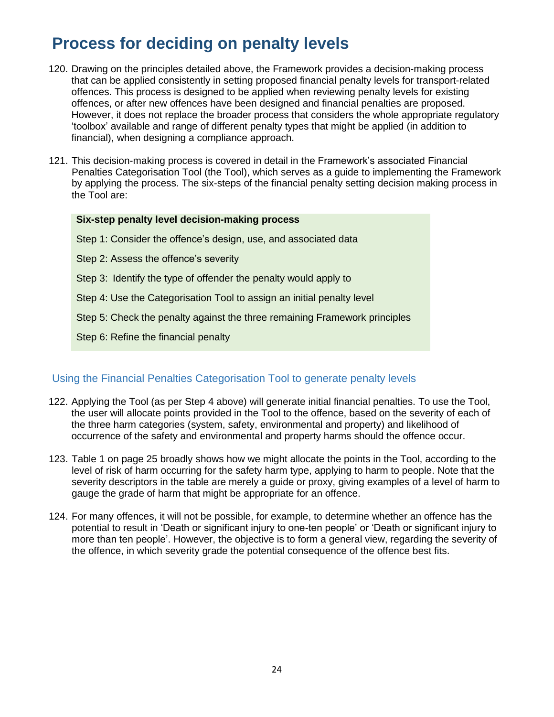# <span id="page-23-0"></span>**Process for deciding on penalty levels**

- 120. Drawing on the principles detailed above, the Framework provides a decision-making process that can be applied consistently in setting proposed financial penalty levels for transport-related offences. This process is designed to be applied when reviewing penalty levels for existing offences, or after new offences have been designed and financial penalties are proposed. However, it does not replace the broader process that considers the whole appropriate regulatory 'toolbox' available and range of different penalty types that might be applied (in addition to financial), when designing a compliance approach.
- 121. This decision-making process is covered in detail in the Framework's associated Financial Penalties Categorisation Tool (the Tool), which serves as a guide to implementing the Framework by applying the process. The six-steps of the financial penalty setting decision making process in the Tool are:

#### **Six-step penalty level decision-making process**

- Step 1: Consider the offence's design, use, and associated data
- Step 2: Assess the offence's severity
- Step 3: Identify the type of offender the penalty would apply to
- Step 4: Use the Categorisation Tool to assign an initial penalty level
- Step 5: Check the penalty against the three remaining Framework principles
- Step 6: Refine the financial penalty

## <span id="page-23-1"></span>Using the Financial Penalties Categorisation Tool to generate penalty levels

- 122. Applying the Tool (as per Step 4 above) will generate initial financial penalties. To use the Tool, the user will allocate points provided in the Tool to the offence, based on the severity of each of the three harm categories (system, safety, environmental and property) and likelihood of occurrence of the safety and environmental and property harms should the offence occur.
- 123. Table 1 on page 25 broadly shows how we might allocate the points in the Tool, according to the level of risk of harm occurring for the safety harm type, applying to harm to people. Note that the severity descriptors in the table are merely a guide or proxy, giving examples of a level of harm to gauge the grade of harm that might be appropriate for an offence.
- 124. For many offences, it will not be possible, for example, to determine whether an offence has the potential to result in 'Death or significant injury to one-ten people' or 'Death or significant injury to more than ten people'. However, the objective is to form a general view, regarding the severity of the offence, in which severity grade the potential consequence of the offence best fits.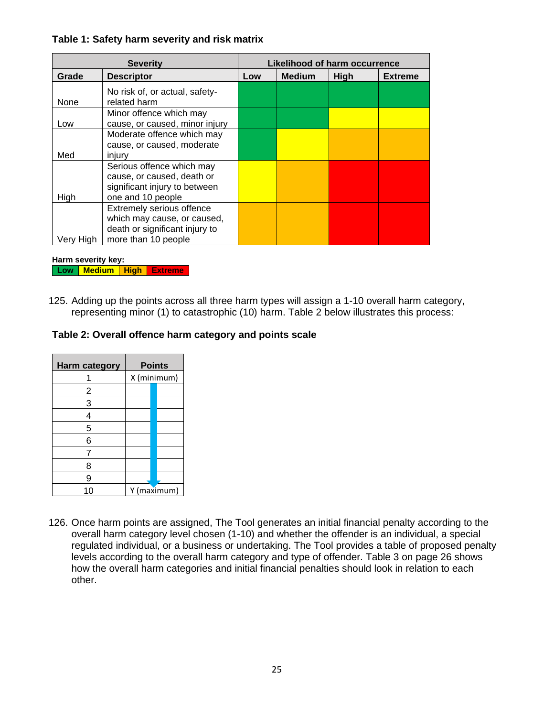#### **Table 1: Safety harm severity and risk matrix**

| <b>Severity</b> |                                                                                            | Likelihood of harm occurrence |               |      |                |
|-----------------|--------------------------------------------------------------------------------------------|-------------------------------|---------------|------|----------------|
| Grade           | <b>Descriptor</b>                                                                          | Low                           | <b>Medium</b> | High | <b>Extreme</b> |
| None            | No risk of, or actual, safety-<br>related harm                                             |                               |               |      |                |
| Low             | Minor offence which may<br>cause, or caused, minor injury                                  |                               |               |      |                |
|                 | Moderate offence which may<br>cause, or caused, moderate                                   |                               |               |      |                |
| Med             | injury<br>Serious offence which may<br>cause, or caused, death or                          |                               |               |      |                |
| High            | significant injury to between<br>one and 10 people                                         |                               |               |      |                |
|                 | Extremely serious offence<br>which may cause, or caused,<br>death or significant injury to |                               |               |      |                |
| Hiah            | more than 10 people                                                                        |                               |               |      |                |

**Harm severity key: Low Medium High Extreme**

125. Adding up the points across all three harm types will assign a 1-10 overall harm category, representing minor (1) to catastrophic (10) harm. Table 2 below illustrates this process:

### **Table 2: Overall offence harm category and points scale**

| <b>Harm category</b> | <b>Points</b> |  |  |
|----------------------|---------------|--|--|
|                      | X (minimum)   |  |  |
| 2                    |               |  |  |
| 3                    |               |  |  |
| 4                    |               |  |  |
| 5                    |               |  |  |
| 6                    |               |  |  |
| 7                    |               |  |  |
| 8                    |               |  |  |
| 9                    |               |  |  |
|                      | Y (maximum)   |  |  |

126. Once harm points are assigned, The Tool generates an initial financial penalty according to the overall harm category level chosen (1-10) and whether the offender is an individual, a special regulated individual, or a business or undertaking. The Tool provides a table of proposed penalty levels according to the overall harm category and type of offender. Table 3 on page 26 shows how the overall harm categories and initial financial penalties should look in relation to each other.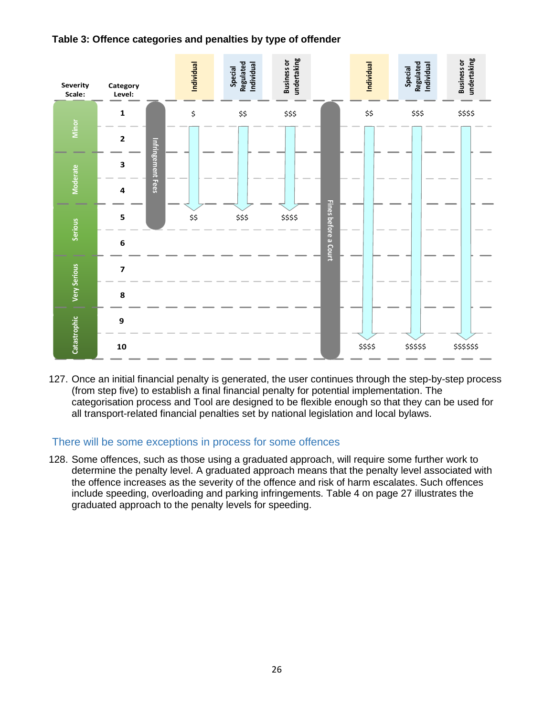



127. Once an initial financial penalty is generated, the user continues through the step-by-step process (from step five) to establish a final financial penalty for potential implementation. The categorisation process and Tool are designed to be flexible enough so that they can be used for all transport-related financial penalties set by national legislation and local bylaws.

#### <span id="page-25-0"></span>There will be some exceptions in process for some offences

128. Some offences, such as those using a graduated approach, will require some further work to determine the penalty level. A graduated approach means that the penalty level associated with the offence increases as the severity of the offence and risk of harm escalates. Such offences include speeding, overloading and parking infringements. Table 4 on page 27 illustrates the graduated approach to the penalty levels for speeding.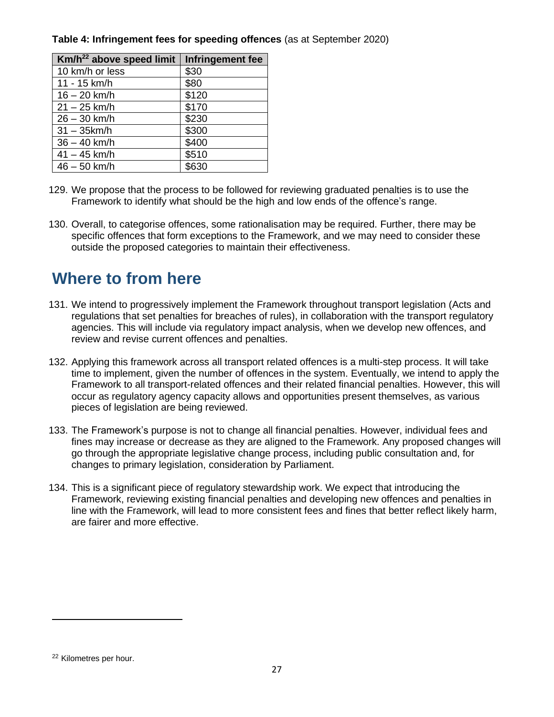| Km/h <sup>22</sup> above speed limit | Infringement fee |
|--------------------------------------|------------------|
| 10 km/h or less                      | \$30             |
| 11 - 15 km/h                         | \$80             |
| $16 - 20$ km/h                       | \$120            |
| $21 - 25$ km/h                       | \$170            |
| $26 - 30$ km/h                       | \$230            |
| $31 - 35$ km/h                       | \$300            |
| $36 - 40$ km/h                       | \$400            |
| $41 - 45$ km/h                       | \$510            |
| $46 - 50$ km/h                       | \$630            |

## **Table 4: Infringement fees for speeding offences** (as at September 2020)

- 129. We propose that the process to be followed for reviewing graduated penalties is to use the Framework to identify what should be the high and low ends of the offence's range.
- 130. Overall, to categorise offences, some rationalisation may be required. Further, there may be specific offences that form exceptions to the Framework, and we may need to consider these outside the proposed categories to maintain their effectiveness.

## <span id="page-26-0"></span>**Where to from here**

- 131. We intend to progressively implement the Framework throughout transport legislation (Acts and regulations that set penalties for breaches of rules), in collaboration with the transport regulatory agencies. This will include via regulatory impact analysis, when we develop new offences, and review and revise current offences and penalties.
- 132. Applying this framework across all transport related offences is a multi-step process. It will take time to implement, given the number of offences in the system. Eventually, we intend to apply the Framework to all transport-related offences and their related financial penalties. However, this will occur as regulatory agency capacity allows and opportunities present themselves, as various pieces of legislation are being reviewed.
- 133. The Framework's purpose is not to change all financial penalties. However, individual fees and fines may increase or decrease as they are aligned to the Framework. Any proposed changes will go through the appropriate legislative change process, including public consultation and, for changes to primary legislation, consideration by Parliament.
- 134. This is a significant piece of regulatory stewardship work. We expect that introducing the Framework, reviewing existing financial penalties and developing new offences and penalties in line with the Framework, will lead to more consistent fees and fines that better reflect likely harm, are fairer and more effective.

<sup>22</sup> Kilometres per hour.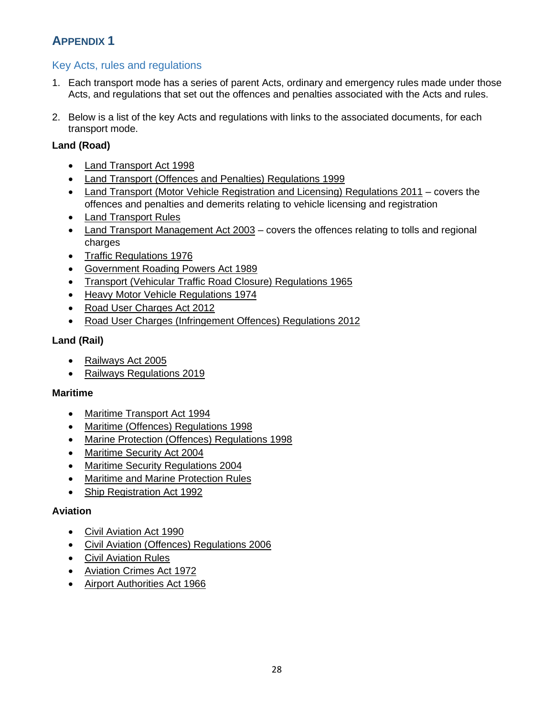## <span id="page-27-0"></span>**APPENDIX 1**

## <span id="page-27-1"></span>Key Acts, rules and regulations

- 1. Each transport mode has a series of parent Acts, ordinary and emergency rules made under those Acts, and regulations that set out the offences and penalties associated with the Acts and rules.
- 2. Below is a list of the key Acts and regulations with links to the associated documents, for each transport mode.

## **Land (Road)**

- [Land Transport Act](http://www.legislation.govt.nz/act/public/1998/0110/latest/DLM433613.html?src=qs) 1998
- [Land Transport \(Offences and Penalties\) Regulations 1999](http://www.legislation.govt.nz/regulation/public/1999/0099/latest/DLM280110.html?src=qs)
- [Land Transport \(Motor Vehicle Registration and Licensing\) Regulations 2011](http://www.legislation.govt.nz/regulation/public/2011/0079/latest/DLM2938301.html?src=qs) covers the offences and penalties and demerits relating to vehicle licensing and registration
- [Land Transport Rules](https://www.nzta.govt.nz/resources/rules/)
- [Land Transport Management Act 2003](http://www.legislation.govt.nz/act/public/2003/0118/latest/DLM226230.html?src=qs) covers the offences relating to tolls and regional charges
- [Traffic Regulations 1976](http://www.legislation.govt.nz/regulation/public/1976/0227/latest/DLM50038.html?src=qs)
- [Government Roading Powers Act 1989](https://www.legislation.govt.nz/act/public/1989/0075/latest/DLM173369.html?src=qs)
- [Transport \(Vehicular Traffic Road Closure\) Regulations 1965](http://www.legislation.govt.nz/regulation/public/1965/0063/latest/DLM21322.html?search=ts_act%40bill%40regulation%40deemedreg_Vehicular+Traffic+Road+Closure_resel_25_a&p=1)
- [Heavy Motor Vehicle Regulations 1974](http://www.legislation.govt.nz/regulation/public/1974/0218/latest/DLM43789.html?src=qs)
- [Road User Charges Act 2012](http://www.legislation.govt.nz/act/public/2012/0001/latest/DLM3394830.html?src=qs)
- [Road User Charges \(Infringement Offences\) Regulations 2012](http://www.legislation.govt.nz/regulation/public/2012/0141/latest/DLM4506928.html?src=qs)

## **Land (Rail)**

- [Railways Act 2005](http://www.legislation.govt.nz/act/public/2005/0037/latest/DLM341568.html?src=qs)
- [Railways Regulations 2019](http://www.legislation.govt.nz/regulation/public/2019/0286/latest/LMS283874.html?src=qs)

## **Maritime**

- [Maritime Transport Act 1994](http://www.legislation.govt.nz/act/public/1994/0104/latest/DLM334660.html?src=qs)
- [Maritime \(Offences\) Regulations 1998](http://www.legislation.govt.nz/regulation/public/1998/0444/latest/DLM269595.html?src=qs)
- [Marine Protection \(Offences\) Regulations 1998](http://www.legislation.govt.nz/regulation/public/1998/0205/latest/DLM252963.html?src=qs)
- [Maritime Security Act 2004](http://www.legislation.govt.nz/act/public/2004/0016/latest/DLM241099.html?src=qs)
- [Maritime Security Regulations 2004](http://www.legislation.govt.nz/regulation/public/2004/0153/latest/DLM261195.html?src=qs)
- Maritime [and Marine Protection Rules](https://www.maritimenz.govt.nz/Rules/)
- [Ship Registration Act 1992](http://www.legislation.govt.nz/act/public/1992/0089/latest/DLM275027.html?src=qs)

## **Aviation**

- [Civil Aviation Act 1990](http://www.legislation.govt.nz/act/public/1990/0098/latest/DLM214687.html?src=qs)
- [Civil Aviation \(Offences\) Regulations 2006](http://www.legislation.govt.nz/regulation/public/2006/0168/latest/DLM390385.html?src=qs)
- [Civil Aviation Rules](https://www.aviation.govt.nz/rules/)
- [Aviation Crimes Act 1972](https://www.legislation.govt.nz/act/public/1972/0137/latest/DLM409117.html?src=qs)
- [Airport Authorities Act 1966](http://www.legislation.govt.nz/act/public/1966/0051/latest/DLM379824.html?src=qs)